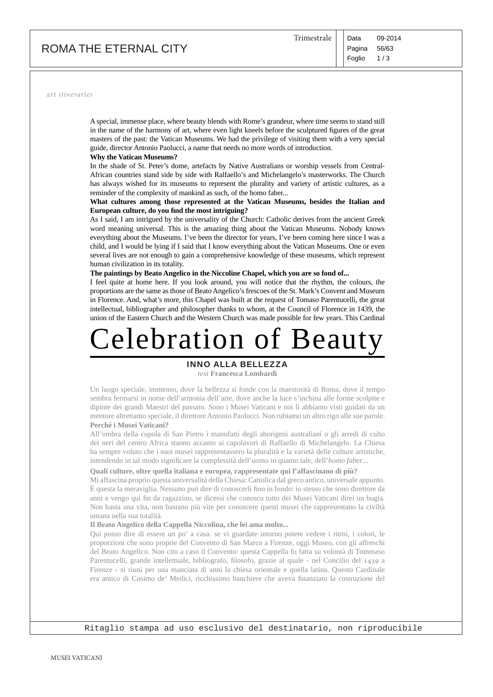# ROMA THE ETERNAL CITY

art *itineraries*

A special, immense place, where beauty blends with Rome's grandeur, where time seems to stand still in the name of the harmony of art, where even light kneels before the sculptured figures of the great masters of the past: the Vatican Museums. We had the privilege of visiting them with a very special guide, director Antonio Paolucci, a name that needs no more words of introduction.

#### **Why the Vatican Museums?**

In the shade of St. Peter's dome, artefacts by Native Australians or worship vessels from Central-African countries stand side by side with Ralfaello's and Michelangelo's masterworks. The Church has always wished for its museums to represent the plurality and variety of artistic cultures, as a reminder of the complexity of mankind as such, of the homo faber...

### **What cultures among those represented at the Vatican Museums, besides the Italian and**  European culture, do you find the most intriguing?

As I said, I am intrigued by the universality of the Church: Catholic derives from the ancient Greek word meaning universal. This is the amazing thing about the Vatican Museums. Nobody knows everything about the Museums. I've been the director for years, I've been coming here since I was a child, and I would be lying if I said that I know everything about the Vatican Museums. One or even several lives are not enough to gain a comprehensive knowledge of these museums, which represent human civilization in its totality.

#### **The paintings by Beato Angelico in the Niccoline Chapel, which you are so fond of...**

I feel quite at home here. If you look around, you will notice that the rhythm, the colours, the proportions are the same as those of Beato Angelico's frescoes of the St. Mark's Convent and Museum in Florence. And, what's more, this Chapel was built at the request of Tomaso Parentucelli, the great intellectual, bibliographer and philosopher thanks to whom, at the Council of Florence in 1439, the union of the Eastern Church and the Western Church was made possible for few years. This Cardinal

# Celebration of Beauty

## INNO ALLA BELLEZZA

*text* **Francesca Lombardi** 

Un luogo speciale, immenso, dove la bellezza si fonde con la maestosità di Roma, dove il tempo sembra fermarsi in nome dell'armonia dell'arte, dove anche la luce s'inchina alle forme scolpite e dipinte dei grandi Maestri del passato. Sono i Musei Vaticani e noi li abbiamo visti guidati da un mentore altrettanto speciale, il direttore Antonio Paolucci. Non rubiamo un altro rigo alle sue parole. **Perché i Musei Vaticani?**

All'ombra della cupola di San Pietro i manufatti degli aborigeni australiani o gli arredi di culto dei neri del centro Africa stanno accanto ai capolavori di Raffaello di Michelangelo. La Chiesa ha sempre voluto che i suoi musei rappresentassero la pluralità e la varietà delle culture artistiche, intendendo in tal modo significare la complessità dell'uomo in quanto tale, dell'*homo faber...* 

#### **Quali culture, oltre quella italiana e europea, rappresentate qui l'affascinano di più?**

Mi affascina proprio questa universalità della Chiesa: Cattolica dal greco antico, universale appunto. È questa la meraviglia. Nessuno può dire di conoscerli fino in fondo: io stesso che sono direttore da anni e vengo qui fin da ragazzino, se dicessi che conosco tutto dei Musei Vaticani direi un bugia. Non basta una vita, non bastano più vite per conoscere questi musei che rappresentano la civiltà umana nella sua totalità.

#### **Il Beato Angelico della Cappella Niccolina, che lei ama molto...**

Qui posso dire di essere un po' a casa: se vi guardate intorno potete vedere i ritmi, i colori, le proporzioni che sono proprie del Convento di San Marco a Firenze, oggi Museo, con gli affreschi del Beato Angelico. Non cito a caso il Convento: questa Cappella fu fatta su volontà di Tommaso Parentucelli, grande intellettuale, bibliografo, filosofo, grazie al quale - nel Concilio del 1439 a Firenze - si riunì per una manciata di anni la chiesa orientale e quella latina. Questo Cardinale era amico di Cosimo de' Medici, ricchissimo banchiere che aveva finanziato la costruzione del

Ritaglio stampa ad uso esclusivo del destinatario, non riproducibile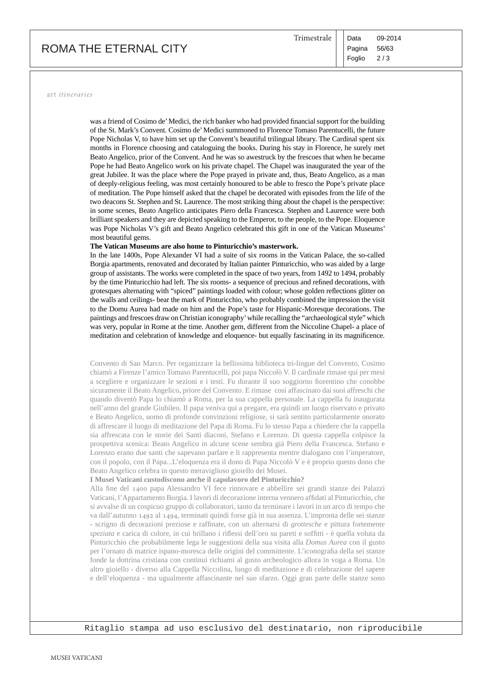# ROMA THE ETERNAL CITY

art *itineraries*

was a friend of Cosimo de' Medici, the rich banker who had provided financial support for the building of the St. Mark's Convent. Cosimo de' Medici summoned to Florence Tomaso Parentucelli, the future Pope Nicholas V, to have him set up the Convent's beautiful trilingual library. The Cardinal spent six months in Florence choosing and cataloguing the books. During his stay in Florence, he surely met Beato Angelico, prior of the Convent. And he was so awestruck by the frescoes that when he became Pope he had Beato Angelico work on his private chapel. The Chapel was inaugurated the year of the great Jubilee. It was the place where the Pope prayed in private and, thus, Beato Angelico, as a man of deeply-religious feeling, was most certainly honoured to be able to fresco the Pope's private place of meditation. The Pope himself asked that the chapel be decorated with episodes from the life of the two deacons St. Stephen and St. Laurence. The most striking thing about the chapel is the perspective: in some scenes, Beato Angelico anticipates Piero della Francesca. Stephen and Laurence were both brilliant speakers and they are depicted speaking to the Emperor, to the people, to the Pope. Eloquence was Pope Nicholas V's gift and Beato Angelico celebrated this gift in one of the Vatican Museums' most beautiful gems.

#### **The Vatican Museums are also home to Pinturicchio's masterwork.**

In the late 1400s, Pope Alexander VI had a suite of six rooms in the Vatican Palace, the so-called Borgia apartments, renovated and decorated by Italian painter Pinturicchio, who was aided by a large group of assistants. The works were completed in the space of two years, from 1492 to 1494, probably by the time Pinturicchio had left. The six rooms- a sequence of precious and refined decorations, with grotesques alternating with "spiced" paintings loaded with colour; whose golden reflections glitter on the walls and ceilings- bear the mark of Pinturicchio, who probably combined the impression the visit to the Domu Aurea had made on him and the Pope's taste for Hispanic-Moresque decorations. The paintings and frescoes draw on Christian iconography' while recalling the "archaeological style" which was very, popular in Rome at the time. Another gem, different from the Niccoline Chapel- a place of meditation and celebration of knowledge and eloquence- but equally fascinating in its magnificence.

Convento di San Marco. Per organizzare la bellissima biblioteca tri-lingue del Convento, Cosimo chiamò a Firenze l'amico Tomaso Parentucelli, poi papa Niccolò V. Il cardinale rimase qui per mesi a scegliere e organizzare le sezioni e i testi. Fu durante il suo soggiorno fiorentino che conobbe sicuramente il Beato Angelico, priore del Convento. E rimase così affascinato dai suoi affreschi che quando diventò Papa lo chiamò a Roma, per la sua cappella personale. La cappella fu inaugurata nell'anno del grande Giubileo. Il papa veniva qui a pregare, era quindi un luogo riservato e privato e Beato Angelico, uomo di profonde convinzioni religiose, si sarà sentito particolarmente onorato di affrescare il luogo di meditazione del Papa di Roma. Fu lo stesso Papa a chiedere che la cappella sia affrescata con le storie dei Santi diaconi, Stefano e Lorenzo. Di questa cappella colpisce la prospettiva scenica: Beato Angelico in alcune scene sembra già Piero della Francesca. Stefano e Lorenzo erano due santi che sapevano parlare e li rappresenta mentre dialogano con l'imperatore, con il popolo, con il Papa...L'eloquenza era il dono di Papa Niccolò V e è proprio questo dono che Beato Angelico celebra in questo meraviglioso gioiello dei Musei.

#### **I Musei Vaticani custodiscono anche il capolavoro del Pinturicchio?**

Alla fine del 1400 papa Alessandro VI fece rinnovare e abbellire sei grandi stanze dei Palazzi Vaticani, l'Appartamento Borgia. I lavori di decorazione interna vennero affidati al Pinturicchio, che si avvalse di un cospicuo gruppo di collaboratori, tanto da terminare i lavori in un arco di tempo che va dall'autunno 1492 al 1494, terminati quindi forse già in sua assenza. L'impronta delle sei stanze - scrigno di decorazioni preziose e raffinate, con un alternarsi di *grottesche* e pittura fortemente *speziata* e carica di colore, in cui brillano i riflessi dell'oro su pareti e soffitti - è quella voluta da Pinturicchio che probabilmente lega le suggestioni della sua visita alla *Domus Aurea* con il gusto per l'ornato di matrice ispano-moresca delle origini del committente. L'iconografia della sei stanze fonde la dottrina cristiana con continui richiami al gusto archeologico allora in voga a Roma. Un altro gioiello - diverso alla Cappella Niccolina, luogo di meditazione e di celebrazione del sapere e dell'eloquenza - ma ugualmente affascinante nel suo sfarzo. Oggi gran parte delle stanze sono

Ritaglio stampa ad uso esclusivo del destinatario, non riproducibile